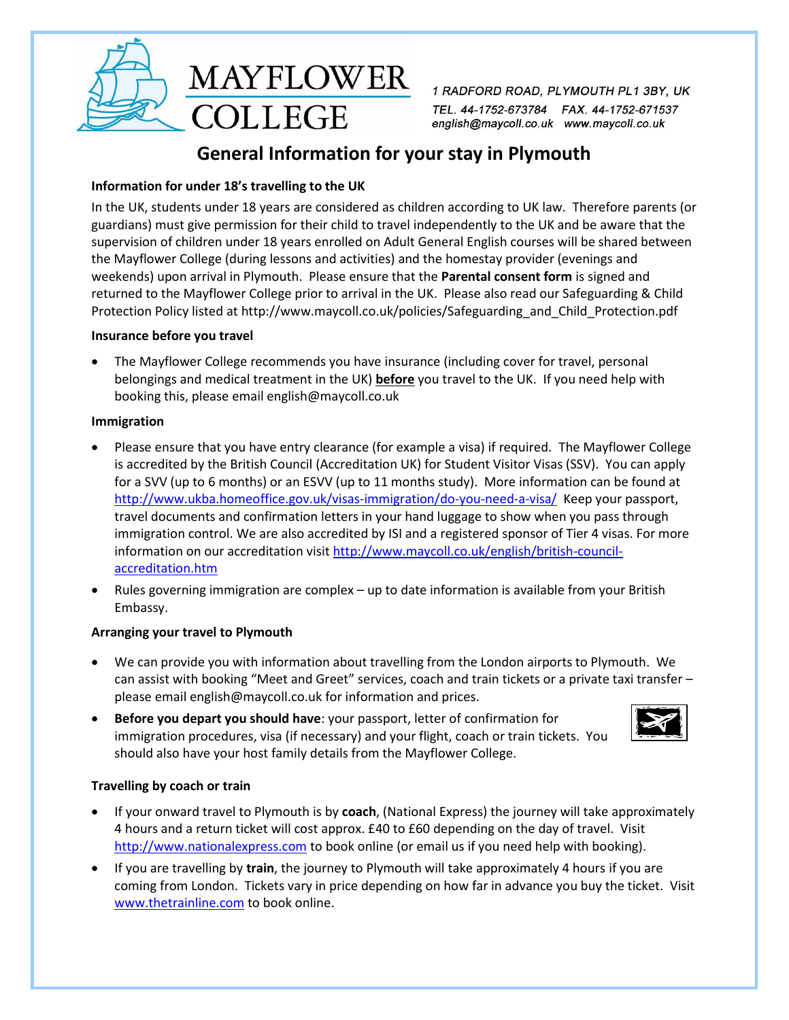

1 RADFORD ROAD, PLYMOUTH PL1 3BY, UK TEL. 44-1752-673784 FAX. 44-1752-671537 english@maycoll.co.uk www.maycoll.co.uk

# **General Information for your stay in Plymouth**

## **Information for under 18's travelling to the UK**

**COLLEGE** 

In the UK, students under 18 years are considered as children according to UK law. Therefore parents (or guardians) must give permission for their child to travel independently to the UK and be aware that the supervision of children under 18 years enrolled on Adult General English courses will be shared between the Mayflower College (during lessons and activities) and the homestay provider (evenings and weekends) upon arrival in Plymouth. Please ensure that the **Parental consent form** is signed and returned to the Mayflower College prior to arrival in the UK. Please also read our Safeguarding & Child Protection Policy listed at http://www.maycoll.co.uk/policies/Safeguarding\_and\_Child\_Protection.pdf

#### **Insurance before you travel**

 The Mayflower College recommends you have insurance (including cover for travel, personal belongings and medical treatment in the UK) **before** you travel to the UK. If you need help with booking this, please email [english@maycoll.co.uk](mailto:english@maycoll.co.uk)

#### **Immigration**

- Please ensure that you have entry clearance (for example a visa) if required. The Mayflower College is accredited by the British Council (Accreditation UK) for Student Visitor Visas (SSV). You can apply for a SVV (up to 6 months) or an ESVV (up to 11 months study). More information can be found at <http://www.ukba.homeoffice.gov.uk/visas-immigration/do-you-need-a-visa/>Keep your passport, travel documents and confirmation letters in your hand luggage to show when you pass through immigration control. We are also accredited by ISI and a registered sponsor of Tier 4 visas. For more information on our accreditation visi[t http://www.maycoll.co.uk/english/british-council](http://www.maycoll.co.uk/english/british-council-accreditation.htm)[accreditation.htm](http://www.maycoll.co.uk/english/british-council-accreditation.htm)
- Rules governing immigration are complex up to date information is available from your British Embassy.

#### **Arranging your travel to Plymouth**

- We can provide you with information about travelling from the London airports to Plymouth. We can assist with booking "Meet and Greet" services, coach and train tickets or a private taxi transfer – please emai[l english@maycoll.co.uk](mailto:english@maycoll.co.uk) for information and prices.
- **Before you depart you should have**: your passport, letter of confirmation for immigration procedures, visa (if necessary) and your flight, coach or train tickets. You should also have your host family details from the Mayflower College.



#### **Travelling by coach or train**

- If your onward travel to Plymouth is by **coach**, (National Express) the journey will take approximately 4 hours and a return ticket will cost approx. £40 to £60 depending on the day of travel. Visit [http://www.nationalexpress.com](http://www.nationalexpress.com/) to book online (or email us if you need help with booking).
- If you are travelling by **train**, the journey to Plymouth will take approximately 4 hours if you are coming from London. Tickets vary in price depending on how far in advance you buy the ticket. Visit [www.thetrainline.com](http://www.thetrainline.com/) to book online.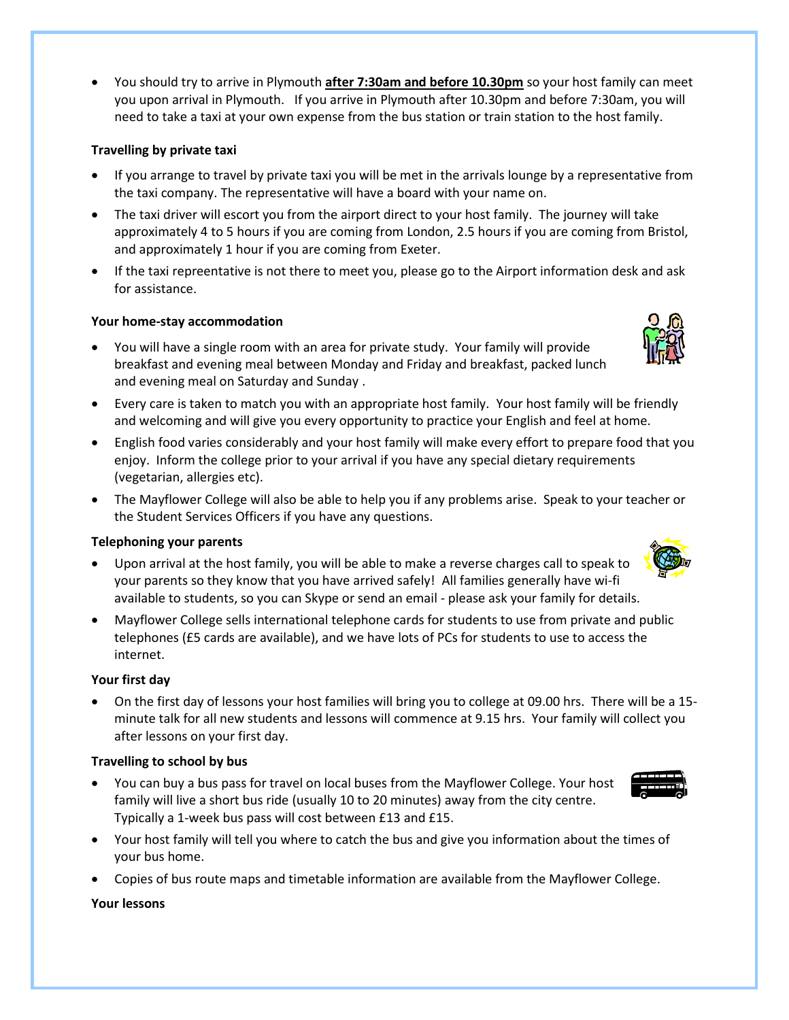You should try to arrive in Plymouth **after 7:30am and before 10.30pm** so your host family can meet you upon arrival in Plymouth. If you arrive in Plymouth after 10.30pm and before 7:30am, you will need to take a taxi at your own expense from the bus station or train station to the host family.

### **Travelling by private taxi**

- If you arrange to travel by private taxi you will be met in the arrivals lounge by a representative from the taxi company. The representative will have a board with your name on.
- The taxi driver will escort you from the airport direct to your host family. The journey will take approximately 4 to 5 hours if you are coming from London, 2.5 hours if you are coming from Bristol, and approximately 1 hour if you are coming from Exeter.
- If the taxi repreentative is not there to meet you, please go to the Airport information desk and ask for assistance.

## **Your home-stay accommodation**

- You will have a single room with an area for private study. Your family will provide breakfast and evening meal between Monday and Friday and breakfast, packed lunch and evening meal on Saturday and Sunday .
- Every care is taken to match you with an appropriate host family. Your host family will be friendly and welcoming and will give you every opportunity to practice your English and feel at home.
- English food varies considerably and your host family will make every effort to prepare food that you enjoy. Inform the college prior to your arrival if you have any special dietary requirements (vegetarian, allergies etc).
- The Mayflower College will also be able to help you if any problems arise. Speak to your teacher or the Student Services Officers if you have any questions.

#### **Telephoning your parents**

- Upon arrival at the host family, you will be able to make a reverse charges call to speak to your parents so they know that you have arrived safely! All families generally have wi-fi available to students, so you can Skype or send an email - please ask your family for details.
- Mayflower College sells international telephone cards for students to use from private and public telephones (£5 cards are available), and we have lots of PCs for students to use to access the internet.

# **Your first day**

 On the first day of lessons your host families will bring you to college at 09.00 hrs. There will be a 15 minute talk for all new students and lessons will commence at 9.15 hrs. Your family will collect you after lessons on your first day.

#### **Travelling to school by bus**

- You can buy a bus pass for travel on local buses from the Mayflower College. Your host family will live a short bus ride (usually 10 to 20 minutes) away from the city centre. Typically a 1-week bus pass will cost between £13 and £15.
- Your host family will tell you where to catch the bus and give you information about the times of your bus home.
- Copies of bus route maps and timetable information are available from the Mayflower College.

#### **Your lessons**